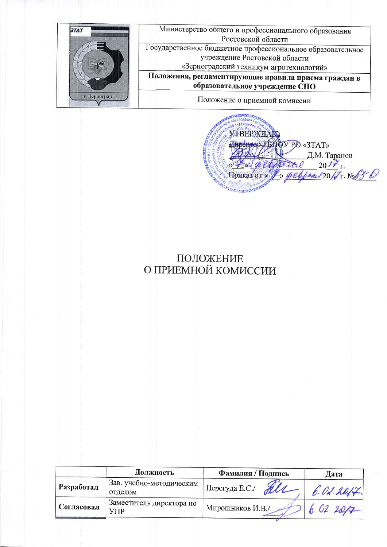

УТВЕРЖДАЮ Huperrop LENOV PO «3TAT» Д.М. Таранов Retal 2017 r. geopettel Приказ от « TELETERED IN

## ПОЛОЖЕНИЕ О ПРИЕМНОЙ КОМИССИИ

|            | Должность                           | Фамилия / Подпись     | Дата      |
|------------|-------------------------------------|-----------------------|-----------|
| Разработал | Зав. учебно-методическим<br>отделом | Перегуда Е.С./<br>all | 6.02.2017 |
| Согласовал | Заместитель директора по<br>VПP     | Мирошников И.В./      | 6.02.207  |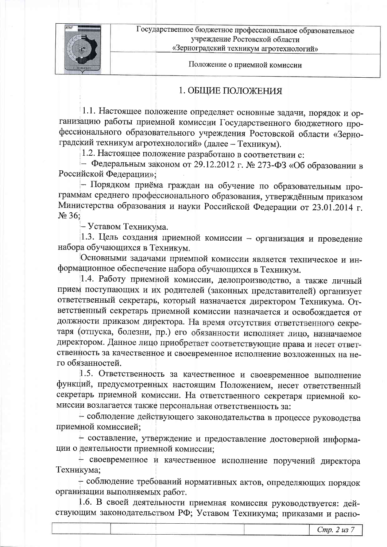

Положение о приемной комиссии

#### 1. ОБЩИЕ ПОЛОЖЕНИЯ

1.1. Настоящее положение определяет основные задачи, порядок и организацию работы приемной комиссии Государственного бюджетного профессионального образовательного учреждения Ростовской области «Зерноградский техникум агротехнологий» (далее - Техникум).

1.2. Настоящее положение разработано в соответствии с:

- Федеральным законом от 29.12.2012 г. № 273-ФЗ «Об образовании в Российской Федерации»:

- Порядком приёма граждан на обучение по образовательным программам среднего профессионального образования, утверждённым приказом Министерства образования и науки Российской Федерации от 23.01.2014 г. No 36:

– Уставом Техникума.

1.3. Цель создания приемной комиссии - организация и проведение набора обучающихся в Техникум.

Основными задачами приемной комиссии является техническое и информационное обеспечение набора обучающихся в Техникум.

1.4. Работу приемной комиссии, делопроизводство, а также личный прием поступающих и их родителей (законных представителей) организует ответственный секретарь, который назначается директором Техникума. Ответственный секретарь приемной комиссии назначается и освобождается от должности приказом директора. На время отсутствия ответственного секретаря (отпуска, болезни, пр.) его обязанности исполняет лицо, назначаемое директором. Данное лицо приобретает соответствующие права и несет ответственность за качественное и своевременное исполнение возложенных на него обязанностей.

1.5. Ответственность за качественное и своевременное выполнение функций, предусмотренных настоящим Положением, несет ответственный секретарь приемной комиссии. На ответственного секретаря приемной комиссии возлагается также персональная ответственность за:

- соблюдение действующего законодательства в процессе руководства приемной комиссией;

- составление, утверждение и предоставление достоверной информации о деятельности приемной комиссии;

+ своевременное и качественное исполнение поручений директора Техникума;

- соблюдение требований нормативных актов, определяющих порядок организации выполняемых работ.

1.6. В своей деятельности приемная комиссия руководствуется: действующим законодательством РФ; Уставом Техникума; приказами и распо-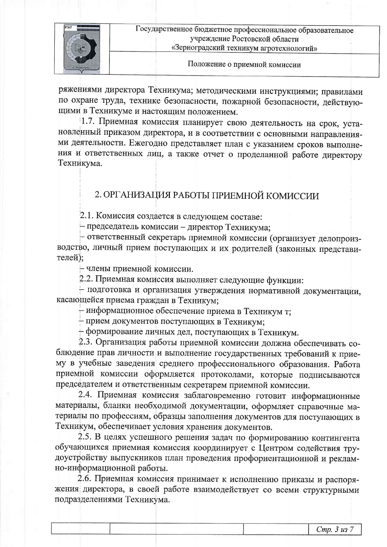

ряжениями директора Техникума; методическими инструкциями; правилами по охране труда, технике безопасности, пожарной безопасности, действующими в Техникуме и настоящим положением.

1.7. Приемная комиссия планирует свою деятельность на срок, установленный приказом директора, и в соответствии с основными направлениями деятельности. Ежегодно представляет план с указанием сроков выполнения и ответственных лиц, а также отчет о проделанной работе директору Техникума.

### 2. ОРГАНИЗАЦИЯ РАБОТЫ ПРИЕМНОЙ КОМИССИИ

2.1. Комиссия создается в следующем составе:

- председатель комиссии - директор Техникума;

- ответственный секретарь приемной комиссии (организует делопроизводство, личный прием поступающих и их родителей (законных представителей);

- члены приемной комиссии.

2.2. Приемная комиссия выполняет следующие функции:

- подготовка и организация утверждения нормативной документации, касающейся приема граждан в Техникум;

+ информационное обеспечение приема в Техникум т;

- прием документов поступающих в Техникум;

+ формирование личных дел, поступающих в Техникум.

2.3. Организация работы приемной комиссии должна обеспечивать соблюдение прав личности и выполнение государственных требований к приему в учебные заведения среднего профессионального образования. Работа приемной комиссии оформляется протоколами, которые подписываются председателем и ответственным секретарем приемной комиссии.

2.4. Приемная комиссия заблаговременно готовит информационные материалы, бланки необходимой документации, оформляет справочные материалы по профессиям, образцы заполнения документов для поступающих в Техникум, обеспечивает условия хранения документов.

2.5. В целях успешного решения задач по формированию контингента обучающихся приемная комиссия координирует с Центром содействия трудоустройству выпускников план проведения профориентационной и рекламно-информационной работы.

2.6. Приемная комиссия принимает к исполнению приказы и распоряжения директора, в своей работе взаимодействует со всеми структурными подразделениями Техникума.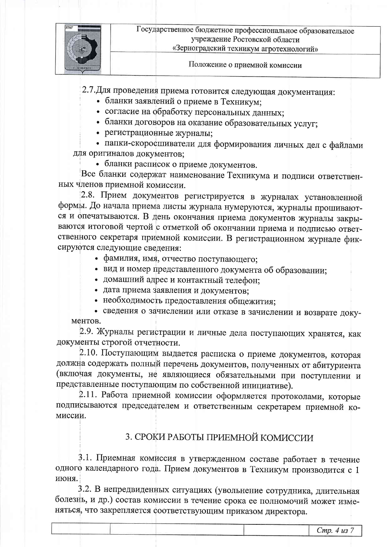

Положение о приемной комиссии

2.7. Для проведения приема готовится следующая документация:

- бланки заявлений о приеме в Техникум;
- согласие на обработку персональных данных;
- бланки договоров на оказание образовательных услуг;
- регистрационные журналы;

• папки-скоросшиватели для формирования личных дел с файлами для оригиналов документов:

• бланки расписок о приеме документов.

Все бланки содержат наименование Техникума и подписи ответственных членов приемной комиссии.

2.8. Прием документов регистрируется в журналах установленной формы. До начала приема листы журнала нумеруются, журналы прошиваются и опечатываются. В день окончания приема документов журналы закрываются итоговой чертой с отметкой об окончании приема и подписью ответственного секретаря приемной комиссии. В регистрационном журнале фиксируются следующие сведения:

- фамилия, имя, отчество поступающего;
- вид и номер представленного документа об образовании;
- домашний адрес и контактный телефон;
- дата приема заявления и документов:
- необходимость предоставления общежития;

• сведения о зачислении или отказе в зачислении и возврате документов.

2.9. Журналы регистрации и личные дела поступающих хранятся, как документы строгой отчетности.

2.10. Поступающим выдается расписка о приеме документов, которая должна содержать полный перечень документов, полученных от абитуриента (включая документы, не являющиеся обязательными при поступлении и представленные поступающим по собственной инициативе).

2.11. Работа приемной комиссии оформляется протоколами, которые подписываются председателем и ответственным секретарем приемной комиссии.

### 3. СРОКИ РАБОТЫ ПРИЕМНОЙ КОМИССИИ

3.1. Приемная комиссия в утвержденном составе работает в течение одного календарного года. Прием документов в Техникум производится с 1 июня.

3.2. В непредвиденных ситуациях (увольнение сотрудника, длительная болезнь, и др.) состав комиссии в течение срока ее полномочий может изменяться, что закрепляется соответствующим приказом директора.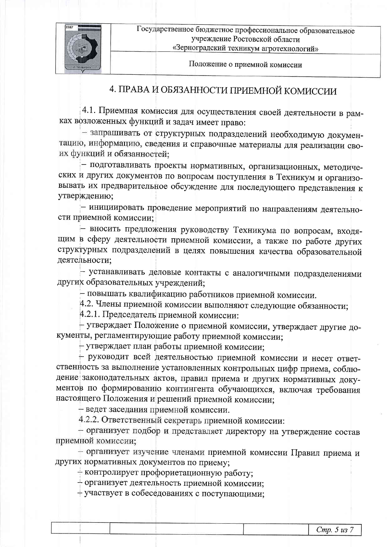

Положение о приемной комиссии

# 4. ПРАВА И ОБЯЗАННОСТИ ПРИЕМНОЙ КОМИССИИ

4.1. Приемная комиссия для осуществления своей деятельности в рамках возложенных функций и задач имеет право:

- запрашивать от структурных подразделений необходимую документацию, информацию, сведения и справочные материалы для реализации своих функций и обязанностей:

- подготавливать проекты нормативных, организационных, методических и других документов по вопросам поступления в Техникум и организовывать их предварительное обсуждение для последующего представления к утверждению;

- инициировать проведение мероприятий по направлениям деятельности приемной комиссии;

- вносить предложения руководству Техникума по вопросам, входящим в сферу деятельности приемной комиссии, а также по работе других структурных подразделений в целях повышения качества образовательной деятельности;

- устанавливать деловые контакты с аналогичными подразделениями других образовательных учреждений;

- повышать квалификацию работников приемной комиссии.

4.2. Члены приемной комиссии выполняют следующие обязанности;

4.2.1. Председатель приемной комиссии:

- утверждает Положение о приемной комиссии, утверждает другие документы, регламентирующие работу приемной комиссии;

+ утверждает план работы приемной комиссии;

- руководит всей деятельностью приемной комиссии и несет ответственность за выполнение установленных контрольных цифр приема, соблюдение законодательных актов, правил приема и других нормативных документов по формированию контингента обучающихся, включая требования настоящего Положения и решений приемной комиссии;

- ведет заседания приемной комиссии.

4.2.2. Ответственный секретарь приемной комиссии:

- организует подбор и представляет директору на утверждение состав приемной комиссии;

- организует изучение членами приемной комиссии Правил приема и других нормативных документов по приему;

 $+$  контролирует профориетационную работу;

+ организует деятельность приемной комиссии;

+ участвует в собеседованиях с поступающими;